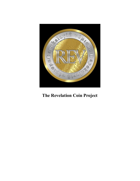

# The Revelation Coin Project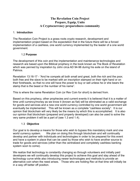# The Revelation Coin Project Prepare, Equip, Unite A Cryptocurrency preparedness community

#### 1. Introduction

The Revelation Coin Project is a grass roots crypto research, development and implementation project based on the expectation that in the future there will be a forced implementation of a cashless, one world currency implemented by the leader of a one world government.

#### 1.2 Purpose

The development of this coin and the implementation and maintenance technologies and research are based upon the Biblical prophecy in the book known as The Book of Revelation which was penned by inspiration by John circa AD 94-96 during his exile on the island of Patmos.

Revelation 13:16-17 - "And he compels all both small and great, both the rich and the poor, both free and the slave to be marked with an inscription stamped on their right hand or on their foreheads, so that no one will have the power to buy or sell unless he or she bears the stamp that is the beast or the number of his name".

This is where the name Revelation Coin (or Rev Coin for short) is derived from.

Based on this prophecy, other prophecies and current events it is believed that it is a matter of time until currency/money as we know it (known as fiat) will be eliminated as a valid exchange for goods and services and a new one world currency controlled by one world government will eventually be implemented. This will be known as a complete "cashless society". It is our opinion that blockchain will very likely be the means by which this is accomplished. It is also our opinion that blockchain (prepared and properly developed) can also be used to solve the very same problem it will be a part of (see 1.3 and 1.4).

## 1.3 Objective

Our goal is to develop a means for those who wish to bypass this mandatory mark and one world currency system. We plan on doing this through blockchain and will continually develop and partner with individuals and technologies in order to be prepared for this event and have a system in place that can be used by those who wish to have another source to trade for goods and services (other than the centralized and completely cashless banking system soon to come).

We realize that technology is constantly changing so through volunteers and initially paid developers we will continually develop this project to achieve this goal and stay ahead of the technology curve while also introducing newer technologies and methods to provide an alternative coin when the need arises. Those who are holding Rev at that time will initially be in a way off better off position.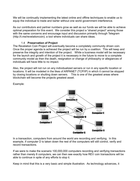We will be continually implementing the latest online and offline techniques to enable us to equip the individual to trade and barter without one world government interference.

As our contributors and partner numbers grow as well as our funds we will be able to achieve optimal preparation for this event. We consider this project a "shared project" among those with the same concerns and encourage input and discussion primarily through Telegram (http://t.me/revelationcoin); a tool where individuals can share ideas.

## 1.4 Preservation of Project

The Revelation Coin Project will eventually become a completely community driven coin. Once the proper agenda is achieved the project will be run by a coalition. This will keep and preserve the integrity and intention of the project. While a business model will be necessary for the launch and growth of the project it is necessary in the future to move to a complete community model as then the death, resignation or change of philosophy or allegiances of individuals will have little to no impact.

Also, the project will not run on any individualized servers or run in any specific location or locations. It will be modeled in the likes of ARPANET (TCP/IP) in which it cannot be stopped by closing locations or shutting down servers. This is one of the greatest areas where blockchain will become the projects greatest asset.

Example:



In a transaction, computers from around the world are recording and verifying. In this example, if computer D is taken down the rest of the computers will still control, verify and record transactions.

If we were to make the scenario 100,000,000 computers recording and verifying transactions rather than merely 8 computers, we can then see exactly how REV coin transactions will be able to continue in spite of any efforts to stop it.

Keep in mind that this is a very basic and simple illustration. As technology advances, it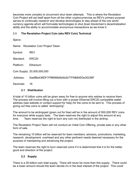becomes more complex to circumvent shut down attempts. This is where the Revelation Coin Project will set itself apart from all the other cryptocurrencies as REV's primary purpose serves to continually research and develop technologies to stay ahead of the one world currency agenda which will formulate technologies to shut down blockchain's decentralization ability and the ability to accommodate anonymous transactions as we know it.

# 2.0 The Revelation Project Coin (aka REV Coin) Technical

Specs-

Name: Revelation Coin Project Token

Symbol: REV

Standard: ERC20

Platform: Ethereum

Coin Supply: 20,000,000,000

Address: 0xe6Be436DF1Ff96956dfe0b2b77FAB84EDe30236F

Decimals: 18

#### 2.1 Distribution

A total of 10 billion coins will be given away for free to anyone who wishes to receive them. The process will involve filling out a form with a proper Ethernet ERC20 compatible wallet address (see website or contact support for help) for the coins to be sent to. This process of giving out free coins is called "airdropping".

The amount to be airdropped (given out for free) will be in the amount of 500,000 REV coins for everyone while supply lasts. The team reserves the right to adjust this amount at any time. Team reserves the right to burn any coin not distributed in the airdrop.

The Revelation Project Team will not conduct an Initial Coin Offering, private sale or any other form of sale.

The remaining 10 billion will be reserved for team members, advisors, promotions, marketing, research, development, overhead and any other pertinent needs deemed necessary for the purpose of maintaining and advancing the project.

The team reserves the right to burn reserved coins if it is determined that it is for the better good and direction of the project.

## 2.2 Supply

There is a 20-billion-coin total supply. There will never be more than this supply. There could be a lower amount should the team decide it's in the best interest of the project. This could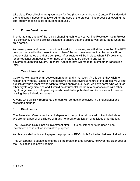take place if not all coins are given away for free (known as airdropping) and/or if it is decided the held supply needs to be lowered for the good of the project. The process of lowering the total supply of coins is called burning (see 2.1).

# 3. Future Development

In order to stay ahead of the rapidly changing technology curve, The Revelation Coin Project is a constantly evolving project designed to ensure that the coin serves it's purpose when the time comes.

As development and research continue to set forth however, we will still ensure that The REV coin can be used in the present time. Use of the coin now ensures that the coins will be properly distributed and that a complete infrastructure will be in place when REV coin is no longer optional but necessary for those who refuse to be part of a one world government/banking system. In short: Adoption now will make for a smoother transaction later.

## 4. Team Information

Currently, we have a small development team and a marketer. At this point, they wish to remain anonymous. Based on the sensitive and controversial nature of the project we will not publish anyone's identity who wish to remain anonymous. Also, we have some who work for other crypto organizations and it would be detrimental for them to be associated with other crypto organizations. As people join who wish to be published and known we will consider posting these individuals names.

Anyone who officially represents the team will conduct themselves in a professional and respectful manner.

#### 5. Disclosures

The Revelation Coin project is an independent group of individuals with likeminded ideas. We are not a part of or affiliated with any nonprofit organization or religious organization.

The Revelation Coin is not an investment offer. It is not intended to be used as an investment and is not for speculative purposes.

As clearly stated in this whitepaper the purpose of REV coin is for trading between individuals.

This whitepaper is subject to change as the project moves forward, however, the clear goal of the Revelation Project will remain.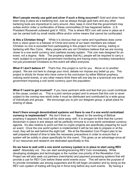Won't people merely use gold and silver if such a thing occurred? Gold and silver have been long in place as a bartering tool. Just as always though gold bars and any other bartering tools are impractical to carry around. Also, keep in mind that the government may outlaw and/or order a confiscation of these commodities (It has happened before. U.S. President Roosevelt outlawed gold in 1933). This is where REV coin will come in place as it can be carried both by small media offline and/or online means that cannot be confiscated.

Is this a Christian thing? While it is obvious that our name and hypothesis does come from a vision given to a follower of Christ and some of our team members are indeed Christian no one is excluded from participating in this project nor from owning, trading or bartering with Rev Coins. Many people who are not Christians believe that we are moving closer to a one world currency and cashless society system. This coin was designed for an event, not a dogma. Note: The prophecy states that ALL people will be required to carry a mark (subject to a tyrannical government monitoring and tracing every monetary transaction) not just proclaimed Christians so this event will affect everyone.

What if I don't believe it? That's fine, this project is not for you. Move on to another project. We are not here to change your mind, debate nor impose any belief up you. This project is strictly for those who have come to the conclusion by either Biblical prophecy, noticing world events, or any other means think there will one day be a tyrannical one world government imposing a one world currency upon the population.

What if I want to get involved? If you have pertinent skills and feel that you could contribute to the cause, contact us. This is a joint venture project and to ensure that this coin is never subject to the coming new world order it must be distributed and contributed by a wide group of individuals and groups. We encourage you to join our telegram group, a great place for sharing of ideas.

Aren't there enough decentralized systems out there to use if a one world centralized currency is implemented? We don't think so. Based on the wording of Biblical prophecy it appears that most will be done away with. It is arrogant to think that the current blockchain in place is and always will be perfectly immune to a one world centralized currency agenda. It's also relative to point out that no crypto projects are specifically preparing for such an event. Once the one world system is implemented it will be too late to prepare or at the most, they will be well behind the eight ball. We at the Revelation Coin Project plan to be well prepared ahead of time to take the necessary precautions in order to ensure that a system will be solidly in place specifically for this event. This gives us an advantage since all of our resources and research are dedicated specifically to this.

Do we have to wait until a one world currency system is in place to start using REV coin? Absolutely not. You can start sending/receiving REV Coin immediately. While developing strategies and technologies is the number one priority of the Revelation Coin Project we will also seek out partners (merchants) and payment processing systems that will provide a use for REV Coin before these world events occur. This will serve the purpose of A) provide immediate use among supporters and B) will begin circulation and by doing so the REV coin system of trading will long be in force long before any such events. By having a